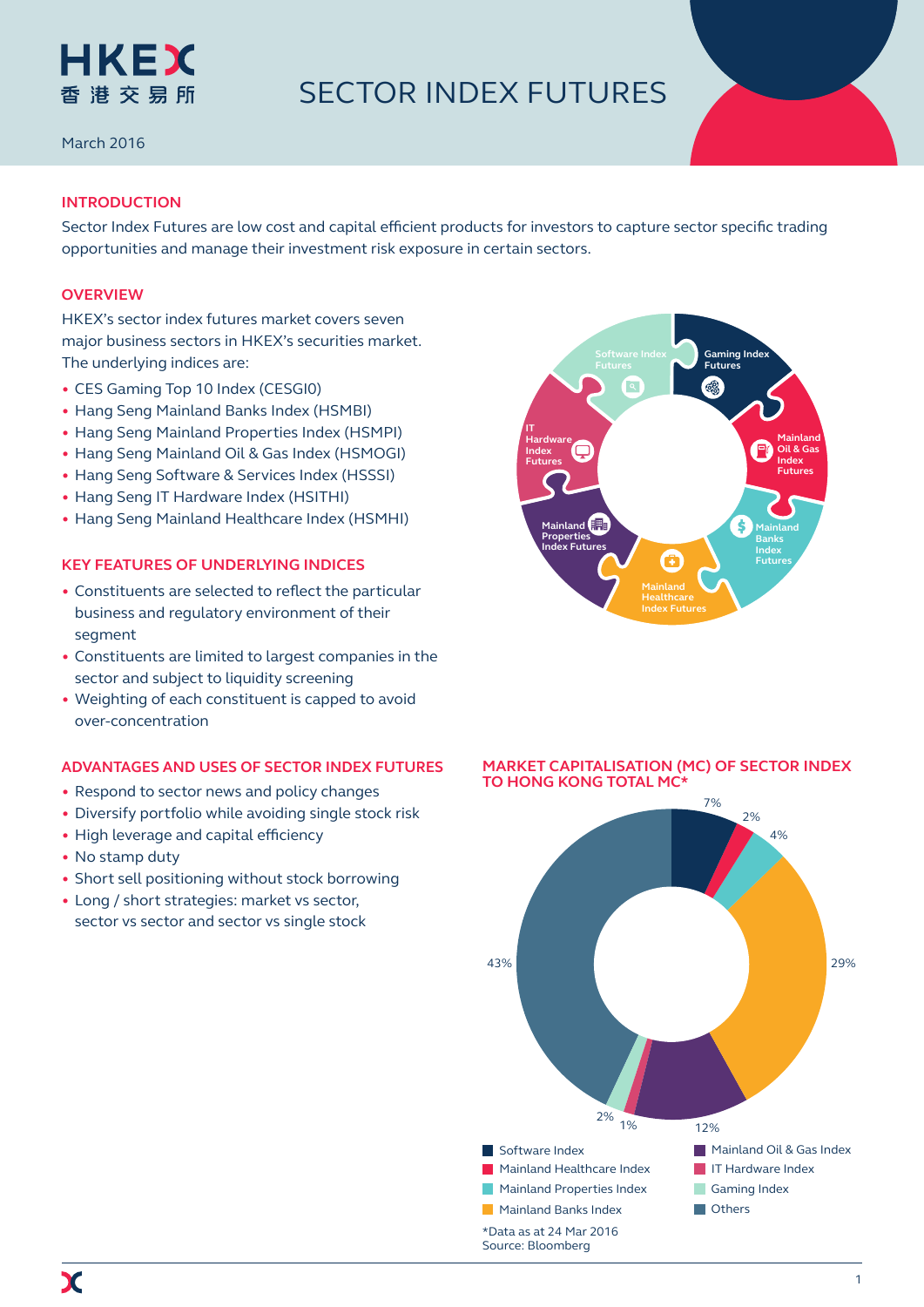

# SECTOR INDEX FUTURES

March 2016

# **INTRODUCTION**

Sector Index Futures are low cost and capital efficient products for investors to capture sector specific trading opportunities and manage their investment risk exposure in certain sectors.

# **OVERVIEW**

HKEX's sector index futures market covers seven major business sectors in HKEX's securities market. The underlying indices are:

- CES Gaming Top 10 Index (CESGI0)
- Hang Seng Mainland Banks Index (HSMBI)
- Hang Seng Mainland Properties Index (HSMPI)
- Hang Seng Mainland Oil & Gas Index (HSMOGI)
- Hang Seng Software & Services Index (HSSSI)
- Hang Seng IT Hardware Index (HSITHI)
- Hang Seng Mainland Healthcare Index (HSMHI)

# **KEY FEATURES OF UNDERLYING INDICES**

- Constituents are selected to reflect the particular business and regulatory environment of their segment
- Constituents are limited to largest companies in the sector and subject to liquidity screening
- Weighting of each constituent is capped to avoid over-concentration

# **ADVANTAGES AND USES OF SECTOR INDEX FUTURES**

- Respond to sector news and policy changes
- Diversify portfolio while avoiding single stock risk
- High leverage and capital efficiency
- No stamp duty
- Short sell positioning without stock borrowing
- Long / short strategies: market vs sector, sector vs sector and sector vs single stock





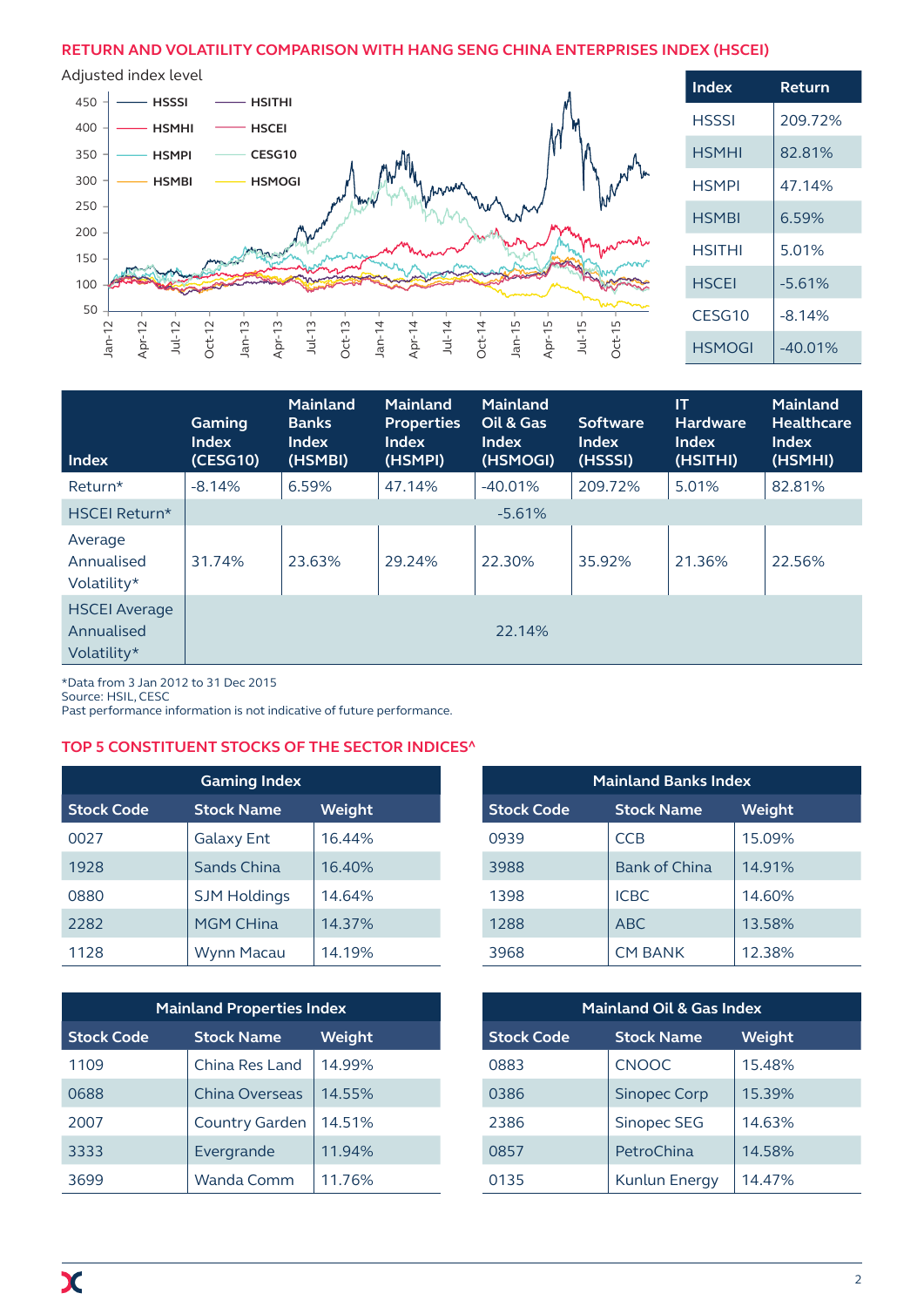# **RETURN AND VOLATILITY COMPARISON WITH HANG SENG CHINA ENTERPRISES INDEX (HSCEI)**



| Index                                             | Gaming<br><b>Index</b><br>(CESG10) | <b>Mainland</b><br><b>Banks</b><br><b>Index</b><br>(HSMBI) | <b>Mainland</b><br><b>Properties</b><br><b>Index</b><br>(HSMPI) | <b>Mainland</b><br>Oil & Gas<br><b>Index</b><br>(HSMOGI) | <b>Software</b><br><b>Index</b><br>(HSSSI) | <b>IT</b><br><b>Hardware</b><br><b>Index</b><br>(HSITHI) | <b>Mainland</b><br><b>Healthcare</b><br><b>Index</b><br>(HSMHI) |
|---------------------------------------------------|------------------------------------|------------------------------------------------------------|-----------------------------------------------------------------|----------------------------------------------------------|--------------------------------------------|----------------------------------------------------------|-----------------------------------------------------------------|
| Return*                                           | $-8.14%$                           | 6.59%                                                      | 47.14%                                                          | $-40.01%$                                                | 209.72%                                    | 5.01%                                                    | 82.81%                                                          |
| HSCEI Return*                                     | $-5.61%$                           |                                                            |                                                                 |                                                          |                                            |                                                          |                                                                 |
| Average<br>Annualised<br>Volatility*              | 31.74%                             | 23.63%                                                     | 29.24%                                                          | 22.30%                                                   | 35.92%                                     | 21.36%                                                   | 22.56%                                                          |
| <b>HSCEI Average</b><br>Annualised<br>Volatility* |                                    |                                                            |                                                                 | 22.14%                                                   |                                            |                                                          |                                                                 |

\*Data from 3 Jan 2012 to 31 Dec 2015

Source: HSIL, CESC

Past performance information is not indicative of future performance.

# **TOP 5 CONSTITUENT STOCKS OF THE SECTOR INDICES^**

| <b>Gaming Index</b> |                     |        |  |  |  |
|---------------------|---------------------|--------|--|--|--|
| <b>Stock Code</b>   | <b>Stock Name</b>   | Weight |  |  |  |
| 0027                | <b>Galaxy Ent</b>   | 16.44% |  |  |  |
| 1928                | Sands China         | 16.40% |  |  |  |
| 0880                | <b>SJM Holdings</b> | 14.64% |  |  |  |
| 2282                | <b>MGM CHina</b>    | 14.37% |  |  |  |
| 1128                | <b>Wynn Macau</b>   | 14.19% |  |  |  |

| <b>Mainland Properties Index</b> |                       |        |  |  |  |
|----------------------------------|-----------------------|--------|--|--|--|
| <b>Stock Code</b>                | <b>Stock Name</b>     | Weight |  |  |  |
| 1109                             | China Res Land        | 14.99% |  |  |  |
| 0688                             | China Overseas        | 14.55% |  |  |  |
| 2007                             | <b>Country Garden</b> | 14.51% |  |  |  |
| 3333                             | Evergrande            | 11.94% |  |  |  |
| 3699                             | Wanda Comm            | 11.76% |  |  |  |

| <b>Mainland Banks Index</b> |                      |        |  |  |  |
|-----------------------------|----------------------|--------|--|--|--|
| <b>Stock Code</b>           | <b>Stock Name</b>    | Weight |  |  |  |
| 0939                        | <b>CCB</b>           | 15.09% |  |  |  |
| 3988                        | <b>Bank of China</b> | 14.91% |  |  |  |
| 1398                        | <b>ICBC</b>          | 14.60% |  |  |  |
| 1288                        | <b>ABC</b>           | 13.58% |  |  |  |
| 3968                        | <b>CM BANK</b>       | 12.38% |  |  |  |

| <b>Mainland Oil &amp; Gas Index</b> |                      |        |  |  |  |
|-------------------------------------|----------------------|--------|--|--|--|
| <b>Stock Code</b>                   | <b>Stock Name</b>    | Weight |  |  |  |
| 0883                                | <b>CNOOC</b>         | 15.48% |  |  |  |
| 0386                                | <b>Sinopec Corp</b>  | 15.39% |  |  |  |
| 2386                                | <b>Sinopec SEG</b>   | 14.63% |  |  |  |
| 0857                                | PetroChina           | 14.58% |  |  |  |
| 0135                                | <b>Kunlun Energy</b> | 14.47% |  |  |  |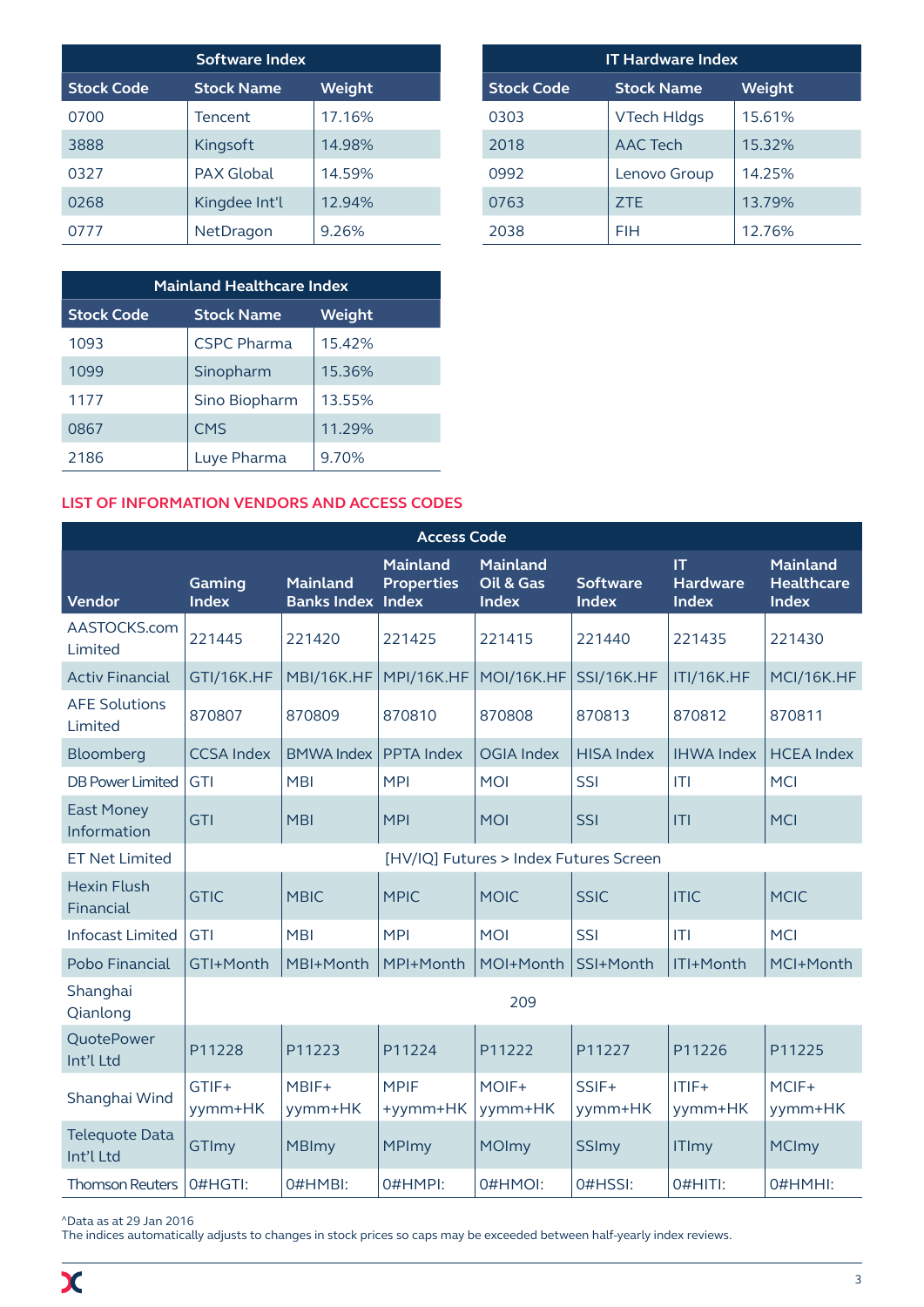| <b>Software Index</b> |                   |               |  |  |  |
|-----------------------|-------------------|---------------|--|--|--|
| <b>Stock Code</b>     | <b>Stock Name</b> | <b>Weight</b> |  |  |  |
| 0700                  | Tencent           | 17.16%        |  |  |  |
| 3888                  | Kingsoft          | 14.98%        |  |  |  |
| 0327                  | <b>PAX Global</b> | 14.59%        |  |  |  |
| 0268                  | Kingdee Int'l     | 12.94%        |  |  |  |
| 0777                  | NetDragon         | 9.26%         |  |  |  |

| <b>Mainland Healthcare Index</b>                 |                    |        |  |  |
|--------------------------------------------------|--------------------|--------|--|--|
| <b>Stock Code</b><br>Weight<br><b>Stock Name</b> |                    |        |  |  |
| 1093                                             | <b>CSPC Pharma</b> | 15.42% |  |  |
| 1099                                             | Sinopharm          | 15.36% |  |  |
| 1177                                             | Sino Biopharm      | 13.55% |  |  |
| 0867                                             | <b>CMS</b>         | 11.29% |  |  |
| 2186                                             | Luye Pharma        | 9.70%  |  |  |

| <b>IT Hardware Index</b> |                    |               |  |  |  |
|--------------------------|--------------------|---------------|--|--|--|
| <b>Stock Code</b>        | <b>Stock Name</b>  | <b>Weight</b> |  |  |  |
| 0303                     | <b>VTech Hldgs</b> | 15.61%        |  |  |  |
| 2018                     | <b>AAC Tech</b>    | 15.32%        |  |  |  |
| 0992                     | Lenovo Group       | 14.25%        |  |  |  |
| 0763                     | 7TF                | 13.79%        |  |  |  |
| 2038                     | FIH                | 12.76%        |  |  |  |

# **LIST OF INFORMATION VENDORS AND ACCESS CODES**

| <b>Access Code</b>                 |                        |                                             |                                      |                                              |                                 |                                       |                                                      |
|------------------------------------|------------------------|---------------------------------------------|--------------------------------------|----------------------------------------------|---------------------------------|---------------------------------------|------------------------------------------------------|
| <b>Vendor</b>                      | Gaming<br><b>Index</b> | <b>Mainland</b><br><b>Banks Index Index</b> | <b>Mainland</b><br><b>Properties</b> | <b>Mainland</b><br>Oil & Gas<br><b>Index</b> | <b>Software</b><br><b>Index</b> | IT<br><b>Hardware</b><br><b>Index</b> | <b>Mainland</b><br><b>Healthcare</b><br><b>Index</b> |
| AASTOCKS.com<br>Limited            | 221445                 | 221420                                      | 221425                               | 221415                                       | 221440                          | 221435                                | 221430                                               |
| <b>Activ Financial</b>             | GTI/16K.HF             | MBI/16K.HF                                  | MPI/16K.HF                           | MOI/16K.HF                                   | SSI/16K.HF                      | ITI/16K.HF                            | MCI/16K.HF                                           |
| <b>AFE Solutions</b><br>Limited    | 870807                 | 870809                                      | 870810                               | 870808                                       | 870813                          | 870812                                | 870811                                               |
| Bloomberg                          | <b>CCSA Index</b>      | <b>BMWA Index</b>                           | <b>PPTA Index</b>                    | <b>OGIA Index</b>                            | <b>HISA Index</b>               | <b>IHWA Index</b>                     | <b>HCEA Index</b>                                    |
| <b>DB Power Limited</b>            | <b>GTI</b>             | <b>MBI</b>                                  | <b>MPI</b>                           | <b>MOI</b>                                   | SSI                             | T                                     | <b>MCI</b>                                           |
| <b>East Money</b><br>Information   | <b>GTI</b>             | <b>MBI</b>                                  | <b>MPI</b>                           | <b>MOI</b>                                   | <b>SSI</b>                      | T                                     | <b>MCI</b>                                           |
| <b>ET Net Limited</b>              |                        |                                             |                                      | [HV/IQ] Futures > Index Futures Screen       |                                 |                                       |                                                      |
| <b>Hexin Flush</b><br>Financial    | <b>GTIC</b>            | <b>MBIC</b>                                 | <b>MPIC</b>                          | <b>MOIC</b>                                  | <b>SSIC</b>                     | <b>ITIC</b>                           | <b>MCIC</b>                                          |
| <b>Infocast Limited</b>            | <b>GTI</b>             | <b>MBI</b>                                  | <b>MPI</b>                           | <b>MOI</b>                                   | SSI                             | T                                     | <b>MCI</b>                                           |
| Pobo Financial                     | GTI+Month              | MBI+Month                                   | MPI+Month                            | MOI+Month                                    | SSI+Month                       | ITI+Month                             | MCI+Month                                            |
| Shanghai<br>Qianlong               | 209                    |                                             |                                      |                                              |                                 |                                       |                                                      |
| QuotePower<br>Int'l Ltd            | P11228                 | P11223                                      | P11224                               | P11222                                       | P11227                          | P11226                                | P11225                                               |
| Shanghai Wind                      | GTIF+<br>yymm+HK       | MBIF+<br>yymm+HK                            | <b>MPIF</b><br>+yymm+HK              | MOIF+<br>yymm+HK                             | SSIF+<br>yymm+HK                | $ITIF+$<br>yymm+HK                    | MCIF+<br>yymm+HK                                     |
| <b>Telequote Data</b><br>Int'l Ltd | GTImy                  | <b>MBImy</b>                                | <b>MPImy</b>                         | <b>MOImy</b>                                 | <b>SSImy</b>                    | <b>ITImy</b>                          | <b>MCImy</b>                                         |
| <b>Thomson Reuters</b>             | 0#HGTI:                | 0#HMBI:                                     | 0#HMPI:                              | 0#HMOI:                                      | 0#HSSI:                         | O#HITI:                               | 0#HMHI:                                              |

^Data as at 29 Jan 2016

The indices automatically adjusts to changes in stock prices so caps may be exceeded between half-yearly index reviews.